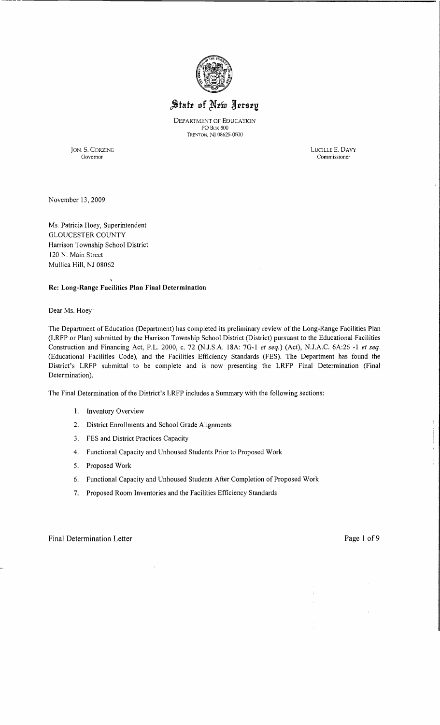

# State of New Jersey

DEPARTMENT OF EDUCATION POBox 500 TRENTON, N) 08625-0S00

JON. S. CORZINE LUCILLE E. DAVY

Commissioner

November 13,2009

Ms. Patricia Hoey, Superintendent GLOUCESTER COUNTY Harrison Township School District 120 N. Main Street Mullica Hill, NJ 08062

# Re: Long-Range Facilities **Plan Final** Determination

Dear Ms. Hoey:

The Department of Education (Department) has completed its preliminary review of the Long-Range Facilities Plan (LRFP or Plan) submitted by the Harrison Township School District (District) pursuant to the Educational Facilities Construction and Financing Act, P.L. 2000, c. 72 (NJ.S.A. 18A: 7G-I *et seq.)* (Act), NJ.A.C. 6A:26 -I *et seq.*  (Educational Facilities Code), and the Facilities Efficiency Standards (FES). The Department has found the District's LRFP submittal to be complete and is now presenting the LRFP Final Determination (Final Determination).

The Final Determination of the District's LRFP includes a Summary with the following sections:

- I. Inventory Overview
- 2. District Enrollments and School Grade Alignments
- 3. FES and District Practices Capacity
- 4. Functional Capacity and Unhoused Students Prior to Proposed Work
- 5. Proposed Work
- 6. Functional Capacity and Unhoused Students After Completion of Proposed Work
- 7. Proposed Room Inventories and the Facilities Efficiency Standards

Final Determination Letter **Page 1** of 9

 $\bar{1}$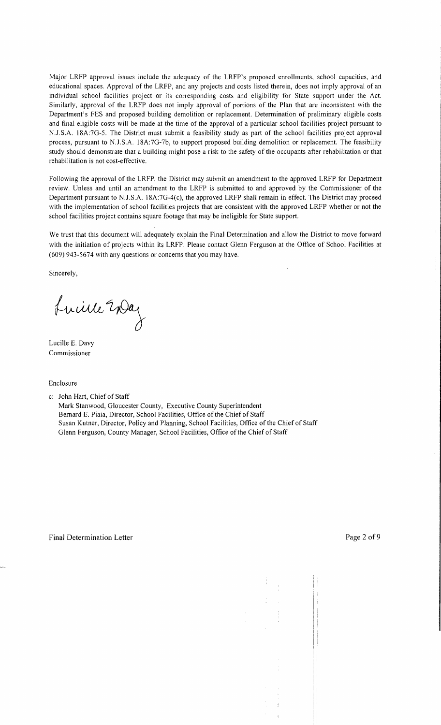Major LRFP approval issues include the adequacy of the LRFP's proposed enrollments, school capacities, and educational spaces. Approval of the LRFP, and any projects and costs listed therein, does not imply approval of an individual school facilities project or its corresponding costs and eligibility for State support under the Act. Similarly, approval of the LRFP does not imply approval of portions of the Plan that are inconsistent with the Department's FES and proposed building demolition or replacement. Determination of preliminary eligible costs and final eligible costs will be made at the time of the approval of a particular school facilities project pursuant to N.J.S.A. 18A:7G-5. The District must submit a feasibility study as part of the school facilities project approval process, pursuant to NJ.S.A. 18A:7G-7b, to support proposed building demolition or replacement. The feasibility study should demonstrate that a building might pose a risk to the safety of the occupants after rehabilitation or that rehabilitation is not cost-effective.

Following the approval of the LRFP, the District may submit an amendment to the approved LRFP for Department review. Unless and until an amendment to the LRFP is submitted to and approved by the Commissioner of the Department pursuant to N.J.S.A. 18A:7G-4(c), the approved LRFP shall remain in effect. The District may proceed with the implementation of school facilities projects that are consistent with the approved LRFP whether or not the school facilities project contains square footage that may be ineligible for State support.

We trust that this document will adequately explain the Final Determination and allow the District to move forward with the initiation of projects within its LRFP. Please contact Glenn Ferguson at the Office of School Facilities at (609) 943-5674 with any questions or concerns that you may have.

Sincerely,

Luine 20ag

Lucille E. Davy Commissioner

Enclosure

c: John Hart, Chief of Staff

Mark Stanwood, Gloucester County, Executive County Superintendent Bernard E. Piaia, Director, School Facilities, Office of the Chief of Staff Susan Kutner, Director, Policy and Planning, School Facilities, Office of the Chief of Staff Glenn Ferguson, County Manager, School Facilities, Office of the Chief of Staff

à.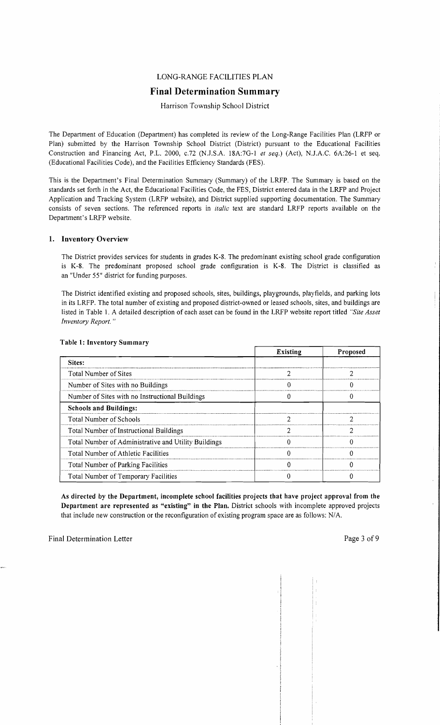# LONG-RANGE FACILITIES PLAN

# **Final Determination Summary**

# Harrison Township School District

The Department of Education (Department) has completed its review of the Long-Range Facilities Plan (LRFP or Plan) submitted by the Harrison Township School District (District) pursuant to the Educational Facilities Construction and Financing Act, P.L. 2000, *c.n* (NJ.S.A. 18A:7G-I *et seq.)* (Act), NJ.A.C. 6A:26-1 et seq. (Educational Facilities Code), and the Facilities Efficiency Standards (FES).

This is the Department's Final Determination Summary (Summary) of the LRFP. The Summary is based on the standards set forth in the Act, the Educational Facilities Code, the FES, District entered data in the LRFP and Project Application and Tracking System (LRFP website), and District supplied supporting documentation. The Summary consists of seven sections. The referenced reports in *italic* text are standard LRFP reports available on the Department's LRFP website.

## 1. Inventory Overview

The District provides services for students in grades K-8. The predominant existing school grade configuration is K-8. The predominant proposed school grade configuration is K-8. The District is classified as an "Under 55" district for funding purposes.

The District identified existing and proposed schools, sites, buildings, playgrounds, playfields, and parking lots in its LRFP. The total number of existing and proposed district-owned or leased schools, sites, and buildings are listed in Table 1. A detailed description of each asset can be found in the LRFP website report titled *"Site Asset Inventory Report. "* 

|                                                      | <b>Existing</b> | Proposed |
|------------------------------------------------------|-----------------|----------|
| Sites:                                               |                 |          |
| Total Number of Sites                                |                 |          |
| Number of Sites with no Buildings                    |                 |          |
| Number of Sites with no Instructional Buildings      |                 |          |
| <b>Schools and Buildings:</b>                        |                 |          |
| Total Number of Schools                              |                 |          |
| Total Number of Instructional Buildings              |                 | າ        |
| Total Number of Administrative and Utility Buildings |                 |          |
| Total Number of Athletic Facilities                  |                 |          |
| Total Number of Parking Facilities                   |                 |          |
| Total Number of Temporary Facilities                 |                 |          |

#### Table 1: Inventory Summary

As directed by the Department, incomplete school facilities projects that have project approval from the Department are represented as "existing" in the Plan. District schools with incomplete approved projects that include new construction or the reconfiguration of existing program space are as follows: N/A.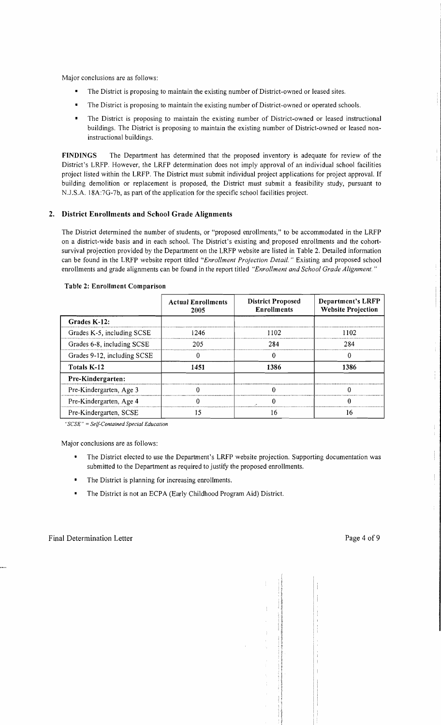Major conclusions are as follows:

- The District is proposing to maintain the existing number of District-owned or leased sites.
- The District is proposing to maintain the existing number of District-owned or operated schools.
- The District is proposing to maintain the existing number of District-owned or leased instructional buildings. The District is proposing to maintain the existing number of District-owned or leased noninstructional buildings.

FINDINGS The Department has determined that the proposed inventory is adequate for review of the District's LRFP. However, the LRFP determination does not imply approval of an individual school facilities project listed within the LRFP. The District must submit individual project applications for project approval. If building demolition or replacement is proposed, the District must submit a feasibility study, pursuant to N.J.S.A. 18A:7G-7b, as part of the application for the specific school facilities project.

# 2. District Enrollments and School Grade Alignments

The District determined the number of students, or "proposed enrollments," to be accommodated in the LRFP on a district-wide basis and in each school. The District's existing and. proposed enrollments and the cohortsurvival projection provided by the Department on the LRFP website are listed in Table 2. Detailed information can be found in the LRFP website report titled *"Enrollment Projection Detail.* " Existing and proposed school enrollments and grade alignments can be found in the report titled *"Enrollment and School Grade Alignment. "* 

|                             | <b>Actual Enrollments</b><br>2005 | <b>District Proposed</b><br><b>Enrollments</b> | <b>Department's LRFP</b><br><b>Website Projection</b> |
|-----------------------------|-----------------------------------|------------------------------------------------|-------------------------------------------------------|
| Grades K-12:                |                                   |                                                |                                                       |
| Grades K-5, including SCSE  | 1246                              | 1102                                           | 1102                                                  |
| Grades 6-8, including SCSE  | 205                               | 284                                            | 284                                                   |
| Grades 9-12, including SCSE |                                   |                                                | $\mathbf{0}$                                          |
| Totals K-12                 | 1451                              | 1386                                           | 1386                                                  |
| Pre-Kindergarten:           |                                   |                                                |                                                       |
| Pre-Kindergarten, Age 3     |                                   |                                                |                                                       |
| Pre-Kindergarten, Age 4     |                                   |                                                |                                                       |
| Pre-Kindergarten, SCSE      | 15                                | 16                                             | 16                                                    |

#### Table 2: Enrollment Comparison

*"SCSE"* = *Self-Contained Special Education* 

Major conclusions are as follows:

- $\bullet$ The District elected to use the Department's LRFP website projection. Supporting documentation was submitted to the Department as required to justify the proposed enrollments.
- $\bullet$ The District is planning for increasing enrollments.
- $\blacksquare$ The District is not an ECPA (Early Childhood Program Aid) District.

Ť

İ.

÷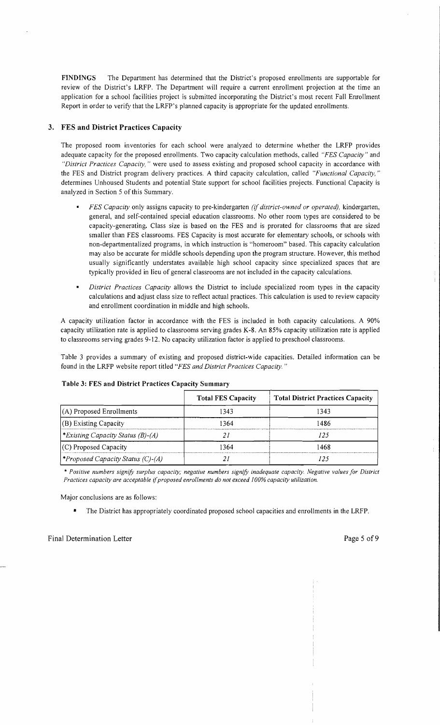FINDINGS The Department has determined that the District's proposed enrollments are supportable for review of the District's LRFP. The Department will require a current enrollment projection at the time an application for a school facilities project is submitted incorporating the District's most recent Fall Enrollment Report in order to verify that the LRFP's planned capacity is appropriate for the updated enrollments.

# 3. FES **and District** Practices Capacity

The proposed room inventories for each school were analyzed to determine whether the LRFP provides adequate capacity for the proposed enrollments. Two capacity calculation methods, called *"FES Capacity"* and *"District Practices Capacity,* " were used to assess existing and proposed school capacity in accordance with the FES and District program delivery practices. A third capacity calculation, called *"Functional Capacity, "*  determines Unhoused Students and potential State support for school facilities projects. Functional Capacity is analyzed in Section 5 of this Summary.

- *FES Capacity* only assigns capacity to pre-kindergarten *(if district-owned or operated),* kindergarten, general, and self-contained special education classrooms. No other room types are considered to be capacity-generating. Class size is based on the FES and is prorated for classrooms that are sized smaller than FES classrooms. FES Capacity is most accurate for elementary schools, or schools with non-departmentalized programs, in which instruction is "homeroom" based. This capacity calculation may also be accurate for middle schools depending upon the program structure. However, this method usually significantly understates available high school capacity since specialized spaces that are typically provided in lieu of general classrooms are not included in the capacity calculations.
- *District Practices Capacity* allows the District to include specialized room types in the capacity calculations and adjust class size to reflect actual practices. This calculation is used to review capacity and enrollment coordination in middle and high schools.

A capacity utilization factor in accordance with the FES is included in both capacity calculations. A 90% capacity utilization rate is applied to classrooms serving grades K-8. An 85% capacity utilization rate is applied to classrooms serving grades 9-12. No capacity utilization factor is applied to preschool classrooms.

Table 3 provides a summary of existing and proposed district-wide capacities. Detailed information can be found in the LRFP website report titled *"FES and District Practices Capacity. "* 

|                                         | <b>Total FES Capacity</b> | <b>Total District Practices Capacity</b> |
|-----------------------------------------|---------------------------|------------------------------------------|
| $(A)$ Proposed Enrollments              | 1343                      | 1343                                     |
| $ $ (B) Existing Capacity               | 1364                      | 1486                                     |
| <i>Existing Capacity Status (B)-(A)</i> |                           | 125                                      |
| (C) Proposed Capacity                   | 1364                      | 1468                                     |
| <i>Proposed Capacity Status (C)-(A)</i> |                           | , 75                                     |

# Table 3: FES and District Practices Capacity Summary

\*' *Positive numbers signifY surplus capacity; negative numbers signifY inadequate capacity. Negative values for District Practices capacity are acceptable* if*proposed enrollments do not exceed 100% capacity utilization.* 

Major conclusions are as follows:

• The District has appropriately coordinated proposed school capacities and enrollments in the LRFP.

 $\frac{1}{4}$  .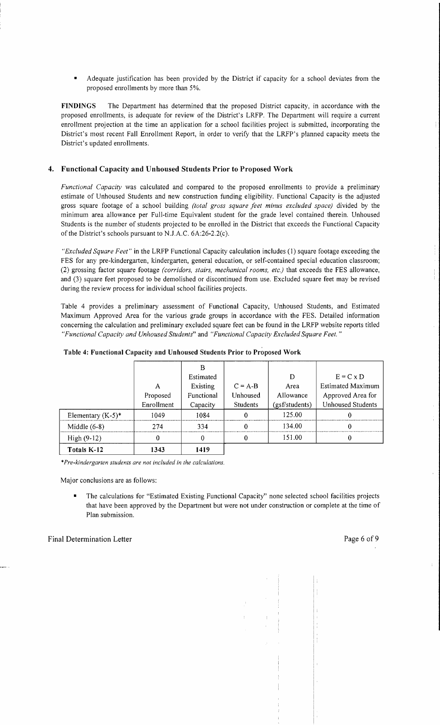Adequate justification has been provided by the District if capacity for a school deviates from the proposed enrollments by more than 5%.

**FINDINGS** The Department has determined that the proposed District capacity, in accordance with the proposed enrollments, is adequate for review of the District's LRFP. The Department will require a current enrollment projection at the time an application for a school facilities project is submitted, incorporating the District's most recent Fall Enrollment Report, in order to verify that the LRFP's planned capacity meets the District's updated enrollments.

## **4. Functional Capacity and Unhoused Students Prior to Proposed Work**

*Functional Capacity* was calculated and compared to the proposed enrollments to provide a preliminary estimate of Unhoused Students and new construction funding eligibility. Functional Capacity is the adjusted gross square footage of a school building *(total gross square feet minus excluded space)* divided by the minimum area allowance per Full-time Equivalent student for the grade level contained therein. Unhoused Students is the number of students projected to be enrolled in the District that exceeds the Functional Capacity of the District's schools pursuant to NJ.A.C. 6A:26-2.2(c).

*"Excluded Square Feet"* in the LRFP Functional Capacity calculation includes (I) square footage exceeding the FES for any pre-kindergarten, kindergarten, general education, or self-contained special education classroom; (2) grossing factor square footage *(corridors, stairs, mechanical rooms, etc.)* that exceeds the FES allowance, and (3) square feet proposed to be demolished or discontinued from use. Excluded square feet may be revised during the review process for individual school facilities projects.

Table 4 provides a preliminary assessment of Functional Capacity, Unhoused Students, and Estimated Maximum Approved Area for the various grade groups in accordance with the FES. Detailed information concerning the calculation and preliminary excluded square feet can be found in the LRFP website reports titled *"Functional Capacity and Unhoused Students"* and *"Functional Capacity Excluded Square Feet. "* 

|                      |            | в          |                 |                |                          |
|----------------------|------------|------------|-----------------|----------------|--------------------------|
|                      |            | Estimated  |                 | D              | $E = C \times D$         |
|                      | Α          | Existing   | $C = A-B$       | Area           | <b>Estimated Maximum</b> |
|                      | Proposed   | Functional | Unhoused        | Allowance      | Approved Area for        |
|                      | Enrollment | Capacity   | <b>Students</b> | (gsf/students) | <b>Unhoused Students</b> |
| Elementary $(K-5)^*$ | 1049       | 1084       |                 | 125.00         |                          |
| Middle $(6-8)$       | 274        | 334        |                 | 134.00         |                          |
| High $(9-12)$        | 0          |            |                 | 151.00         |                          |
| Totals K-12          | 1343       | 1419       |                 |                |                          |

**Table 4: Functional Capacity and Unhoused Students Prior to Proposed Work** 

*\*Pre-kindergarten students are not included in the calculations.* 

Major conclusions are as follows:

The calculations for "Estimated Existing Functional Capacity" none selected school facilities projects that have been approved by the Department but were not under construction or complete at the time of Plan submission.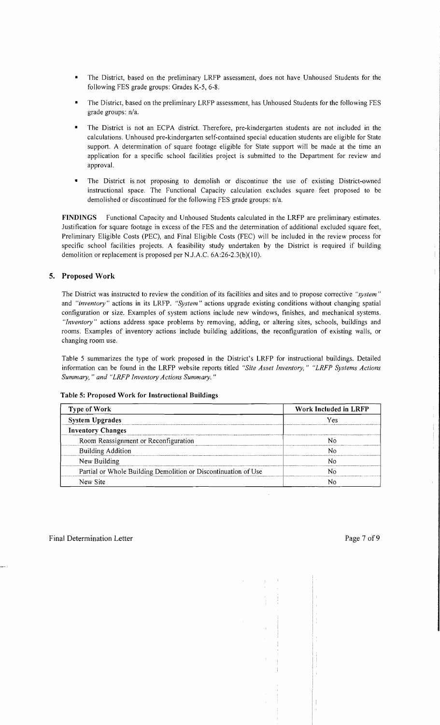- The District, based on the preliminary LRFP assessment, does not have Unhoused Students for the following FES grade groups: Grades K-5, 6-8.
- The District, based on the preliminary LRFP assessment, has Unhoused Students for the following FES grade groups: n/a.
- The District is not an ECPA district. Therefore, pre-kindergarten students are not included in the calculations. Unhoused pre-kindergarten self-contained special education students are eligible for State support. A determination of square footage eligible for State support will be made at the time an application for a specific school facilities project is submitted to the Department for review and approval.
- The District is not proposing to demolish or discontinue the use of existing District-owned instructional space. The Functional Capacity calculation excludes square feet proposed to be demolished or discontinued for the following FES grade groups: n/a.

FINDINGS Functional Capacity and Unhoused Students calculated in the LRFP are preliminary estimates. Justification for square footage in excess of the FES and the determination of additional excluded square feet, Preliminary Eligible Costs (PEC), and Final Eligible Costs (FEC) will be included in the review process for specific school facilities projects. A feasibility study undertaken by the District is required if building demolition or replacement is proposed per NJ.A.C. 6A:26-2.3(b)(10).

# 5. Proposed Work

The District was instructed to review the condition of its facilities and sites and to propose corrective *"system"*  and *"inventory"* actions in its LRFP. *"System"* actions upgrade existing conditions without changing spatial configuration or size. Examples of system actions include new windows, finishes, and mechanical systems. *"Inventory"* actions address space problems by removing, adding, or altering sites, schools, buildings and rooms. Examples of inventory actions include building additions, the reconfiguration of existing walls, or changing room use.

Table 5 summarizes the type of work proposed in the District's LRFP for instructional buildings. Detailed information can be found in the LRFP website reports titled *"Site Asset Inventory," "LRFP Systems Actions Summary," and "LRFP Inventory Actions Summary."* 

| Table 5: Proposed Work for Instructional Buildings |  |
|----------------------------------------------------|--|
|----------------------------------------------------|--|

| <b>Type of Work</b>                                            | Work Included in LRFP |  |  |
|----------------------------------------------------------------|-----------------------|--|--|
| <b>System Upgrades</b>                                         | Yes                   |  |  |
| <b>Inventory Changes</b>                                       |                       |  |  |
| Room Reassignment or Reconfiguration                           |                       |  |  |
| <b>Building Addition</b>                                       |                       |  |  |
| New Building                                                   |                       |  |  |
| Partial or Whole Building Demolition or Discontinuation of Use |                       |  |  |
| New Site                                                       |                       |  |  |

 $\frac{1}{2}$ 

Ť.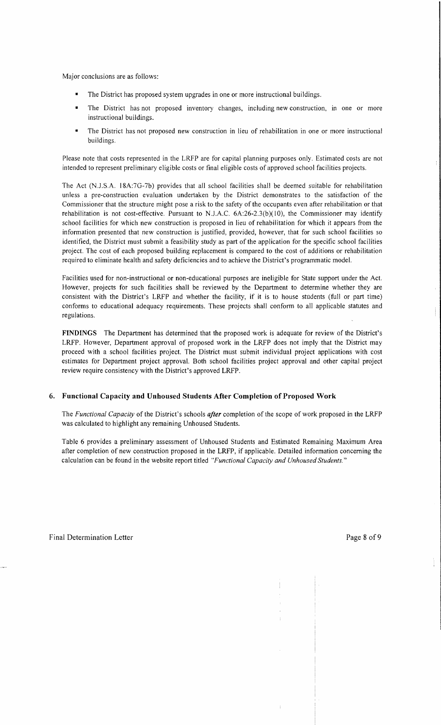Major conclusions are as follows:

- The District has proposed system upgrades in one or more instructional buildings.
- The District has not proposed inventory changes, including new construction, in one or more instructional buildings.
- The District has not proposed new construction in lieu of rehabilitation in one or more instructional buildings.

Please note that costs represented in the LRFP are for capital planning purposes only. Estimated costs are not intended to represent preliminary eligible costs or final eligible costs of approved school facilities projects.

The Act (N.J.S.A. l8A:7G-7b) provides that all school facilities shall be deemed suitable for rehabilitation unless a pre-construction evaluation undertaken by the District demonstrates to the satisfaction of the Commissioner that the structure might pose a risk to the safety of the occupants even after rehabilitation or that rehabilitation is not cost-effective. Pursuant to N.J.A.C. 6A:26-2.3(b)(10), the Commissioner may identify school facilities for which new construction is proposed in lieu of rehabilitation for which it appears from the information presented that new construction is justified, provided, however, that for such school facilities so identified, the District must submit a feasibility study as part of the application for the specific school facilities project. The cost of each proposed building replacement is compared to the cost of additions or rehabilitation required to eliminate health and safety deficiencies and to achieve the District's programmatic model.

Facilities used for non-instructional or non-educational purposes are ineligible for State support under the Act. However, projects for such facilities shall be reviewed by the Department to determine whether they are consistent with the District's LRFP and whether the facility, if it is to house students (full or part time) conforms to educational adequacy requirements. These projects shall conform to all applicable statutes and regulations.

FINDINGS The Department has determined that the proposed work is adequate for review of the District's LRFP. However, Department approval of proposed work in the LRFP does not imply that the District may proceed with a school facilities project. The District must submit individual project applications with cost estimates for Department project approval. Both school facilities project approval and other capital project review require consistency with the District's approved LRFP.

## 6. Functional Capacity and Unhoused Students After Completion of Proposed Work

The *Functional Capacity* of the District's schools *after* completion of the scope of work proposed in the LRFP was calculated to highlight any remaining Unhoused Students.

Table 6 provides a preliminary assessment of Unhoused Students and Estimated Remaining Maximum Area after completion of new construction proposed in the LRFP, if applicable. Detailed information concerning the calculation can be found in the website report titled *"Functional Capacity and Unhoused Students."*